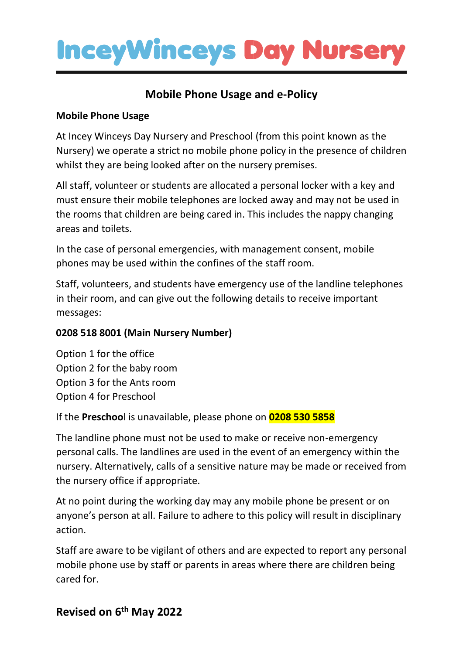

## **Mobile Phone Usage and e-Policy**

### **Mobile Phone Usage**

At Incey Winceys Day Nursery and Preschool (from this point known as the Nursery) we operate a strict no mobile phone policy in the presence of children whilst they are being looked after on the nursery premises.

All staff, volunteer or students are allocated a personal locker with a key and must ensure their mobile telephones are locked away and may not be used in the rooms that children are being cared in. This includes the nappy changing areas and toilets.

In the case of personal emergencies, with management consent, mobile phones may be used within the confines of the staff room.

Staff, volunteers, and students have emergency use of the landline telephones in their room, and can give out the following details to receive important messages:

### **0208 518 8001 (Main Nursery Number)**

Option 1 for the office Option 2 for the baby room Option 3 for the Ants room Option 4 for Preschool

If the **Preschoo**l is unavailable, please phone on **0208 530 5858**

The landline phone must not be used to make or receive non-emergency personal calls. The landlines are used in the event of an emergency within the nursery. Alternatively, calls of a sensitive nature may be made or received from the nursery office if appropriate.

At no point during the working day may any mobile phone be present or on anyone's person at all. Failure to adhere to this policy will result in disciplinary action.

Staff are aware to be vigilant of others and are expected to report any personal mobile phone use by staff or parents in areas where there are children being cared for.

## **Revised on 6 th May 2022**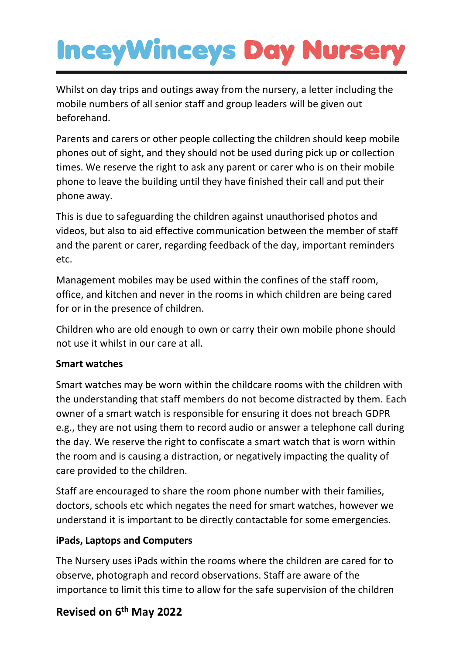# **InceyWinceys Day Nurse**

Whilst on day trips and outings away from the nursery, a letter including the mobile numbers of all senior staff and group leaders will be given out beforehand.

Parents and carers or other people collecting the children should keep mobile phones out of sight, and they should not be used during pick up or collection times. We reserve the right to ask any parent or carer who is on their mobile phone to leave the building until they have finished their call and put their phone away.

This is due to safeguarding the children against unauthorised photos and videos, but also to aid effective communication between the member of staff and the parent or carer, regarding feedback of the day, important reminders etc.

Management mobiles may be used within the confines of the staff room, office, and kitchen and never in the rooms in which children are being cared for or in the presence of children.

Children who are old enough to own or carry their own mobile phone should not use it whilst in our care at all.

#### **Smart watches**

Smart watches may be worn within the childcare rooms with the children with the understanding that staff members do not become distracted by them. Each owner of a smart watch is responsible for ensuring it does not breach GDPR e.g., they are not using them to record audio or answer a telephone call during the day. We reserve the right to confiscate a smart watch that is worn within the room and is causing a distraction, or negatively impacting the quality of care provided to the children.

Staff are encouraged to share the room phone number with their families, doctors, schools etc which negates the need for smart watches, however we understand it is important to be directly contactable for some emergencies.

#### **iPads, Laptops and Computers**

The Nursery uses iPads within the rooms where the children are cared for to observe, photograph and record observations. Staff are aware of the importance to limit this time to allow for the safe supervision of the children

## **Revised on 6 th May 2022**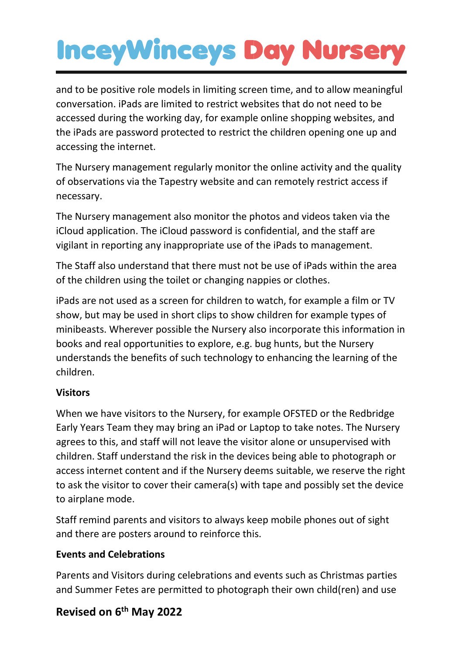# **InceyWinceys Day Nurse**

and to be positive role models in limiting screen time, and to allow meaningful conversation. iPads are limited to restrict websites that do not need to be accessed during the working day, for example online shopping websites, and the iPads are password protected to restrict the children opening one up and accessing the internet.

The Nursery management regularly monitor the online activity and the quality of observations via the Tapestry website and can remotely restrict access if necessary.

The Nursery management also monitor the photos and videos taken via the iCloud application. The iCloud password is confidential, and the staff are vigilant in reporting any inappropriate use of the iPads to management.

The Staff also understand that there must not be use of iPads within the area of the children using the toilet or changing nappies or clothes.

iPads are not used as a screen for children to watch, for example a film or TV show, but may be used in short clips to show children for example types of minibeasts. Wherever possible the Nursery also incorporate this information in books and real opportunities to explore, e.g. bug hunts, but the Nursery understands the benefits of such technology to enhancing the learning of the children.

### **Visitors**

When we have visitors to the Nursery, for example OFSTED or the Redbridge Early Years Team they may bring an iPad or Laptop to take notes. The Nursery agrees to this, and staff will not leave the visitor alone or unsupervised with children. Staff understand the risk in the devices being able to photograph or access internet content and if the Nursery deems suitable, we reserve the right to ask the visitor to cover their camera(s) with tape and possibly set the device to airplane mode.

Staff remind parents and visitors to always keep mobile phones out of sight and there are posters around to reinforce this.

## **Events and Celebrations**

Parents and Visitors during celebrations and events such as Christmas parties and Summer Fetes are permitted to photograph their own child(ren) and use

## **Revised on 6 th May 2022**